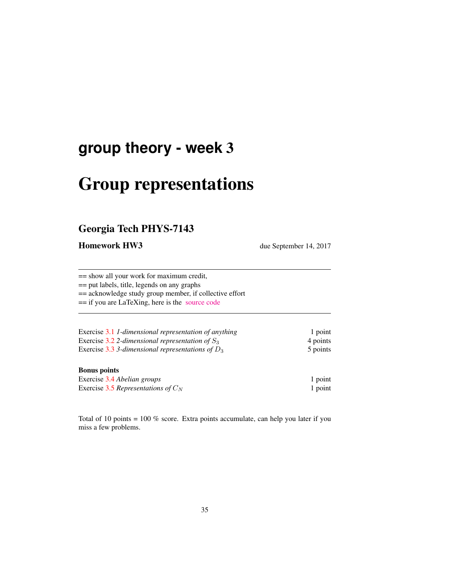## **group theory - week** 3

# Group representations

### Georgia Tech PHYS-7143

**Homework HW3** due September 14, 2017

== show all your work for maximum credit, == put labels, title, legends on any graphs

== acknowledge study group member, if collective effort

== if you are LaTeXing, here is the [source code](http://birdtracks.eu/courses/PHYS-7143-17/exerWeek3.tex)

| Exercise 3.1 1-dimensional representation of anything | 1 point  |
|-------------------------------------------------------|----------|
| Exercise 3.2 2-dimensional representation of $S_3$    | 4 points |
| Exercise 3.3 3-dimensional representations of $D_3$   | 5 points |

#### Bonus points

| Exercise 3.4 Abelian groups           | 1 point |
|---------------------------------------|---------|
| Exercise 3.5 Representations of $C_N$ | 1 point |

Total of 10 points = 100 % score. Extra points accumulate, can help you later if you miss a few problems.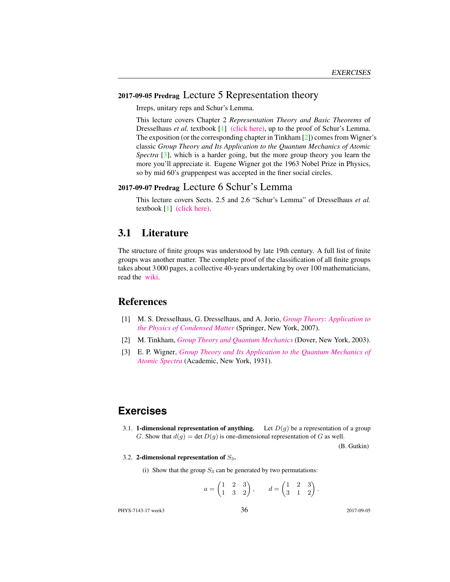#### 2017-09-05 Predrag Lecture 5 Representation theory

Irreps, unitary reps and Schur's Lemma.

This lecture covers Chapter 2 *Representation Theory and Basic Theorems* of Dresselhaus *et al.* textbook [1] [\(click here\),](http://chaosbook.org/library/Dresselhaus07.pdf) up to the proof of Schur's Lemma. The exposition (or the corresponding chapter in Tinkham [2]) comes from Wigner's classic *Group Theory and Its Application to the Quantum Mechanics of Atomic Spectra* [3], which is a harder going, but the more group theory you learn the more you'll appreciate it. Eugene Wigner got the 1963 Nobel Prize in Physics, so by mid 60's gruppenpest was accepted in the finer social circles.

#### 2017-09-07 Predrag Lecture 6 Schur's Lemma

This lecture covers Sects. 2.5 and 2.6 "Schur's Lemma" of Dresselhaus *et al.* textbook [1] [\(click here\).](http://chaosbook.org/library/Dresselhaus07.pdf)

#### 3.1 Literature

The structure of finite groups was understood by late 19th century. A full list of finite groups was another matter. The complete proof of the classification of all finite groups takes about 3 000 pages, a collective 40-years undertaking by over 100 mathematicians, read the [wiki.](https://en.wikipedia.org/wiki/Classification_of_finite_simple_groups)

#### References

- [1] M. S. Dresselhaus, G. Dresselhaus, and A. Jorio, *[Group Theory: Application to](http://dx.doi.org/10.1007/978-3-540-32899-5) [the Physics of Condensed Matter](http://dx.doi.org/10.1007/978-3-540-32899-5)* (Springer, New York, 2007).
- [2] M. Tinkham, *[Group Theory and Quantum Mechanics](http://dx.doi.org/10.1016/c2013-0-01646-5)* (Dover, New York, 2003).
- [3] E. P. Wigner, *[Group Theory and Its Application to the Quantum Mechanics of](http://books.google.com/books?vid=ISBN9780323152785) [Atomic Spectra](http://books.google.com/books?vid=ISBN9780323152785)* (Academic, New York, 1931).

#### **Exercises**

3.1. **1-dimensional representation of anything.** Let  $D(g)$  be a representation of a group G. Show that  $d(g) = \det D(g)$  is one-dimensional representation of G as well.

(B. Gutkin)

3.2. 2-dimensional representation of  $S_3$ .

(i) Show that the group  $S_3$  can be generated by two permutations:

$$
a = \begin{pmatrix} 1 & 2 & 3 \\ 1 & 3 & 2 \end{pmatrix}, \qquad d = \begin{pmatrix} 1 & 2 & 3 \\ 3 & 1 & 2 \end{pmatrix}.
$$

PHYS-7143-17 week3 36 2017-09-05